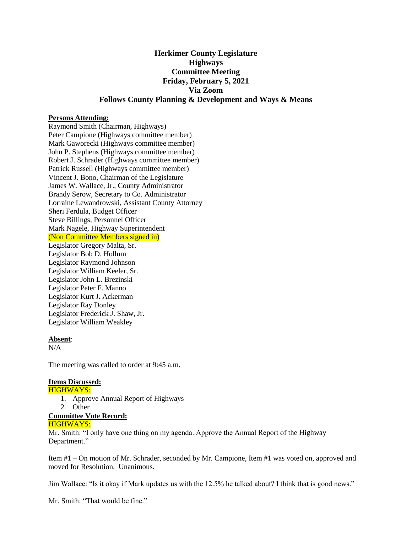# **Herkimer County Legislature Highways Committee Meeting Friday, February 5, 2021 Via Zoom Follows County Planning & Development and Ways & Means**

### **Persons Attending:**

Raymond Smith (Chairman, Highways) Peter Campione (Highways committee member) Mark Gaworecki (Highways committee member) John P. Stephens (Highways committee member) Robert J. Schrader (Highways committee member) Patrick Russell (Highways committee member) Vincent J. Bono, Chairman of the Legislature James W. Wallace, Jr., County Administrator Brandy Serow, Secretary to Co. Administrator Lorraine Lewandrowski, Assistant County Attorney Sheri Ferdula, Budget Officer Steve Billings, Personnel Officer Mark Nagele, Highway Superintendent (Non Committee Members signed in) Legislator Gregory Malta, Sr. Legislator Bob D. Hollum

Legislator Raymond Johnson Legislator William Keeler, Sr. Legislator John L. Brezinski Legislator Peter F. Manno Legislator Kurt J. Ackerman Legislator Ray Donley Legislator Frederick J. Shaw, Jr. Legislator William Weakley

#### **Absent**:

N/A

The meeting was called to order at 9:45 a.m.

## **Items Discussed:**

#### HIGHWAYS:

- 1. Approve Annual Report of Highways
- 2. Other

## **Committee Vote Record:**

### HIGHWAYS:

Mr. Smith: "I only have one thing on my agenda. Approve the Annual Report of the Highway Department."

Item #1 – On motion of Mr. Schrader, seconded by Mr. Campione, Item #1 was voted on, approved and moved for Resolution. Unanimous.

Jim Wallace: "Is it okay if Mark updates us with the 12.5% he talked about? I think that is good news."

Mr. Smith: "That would be fine."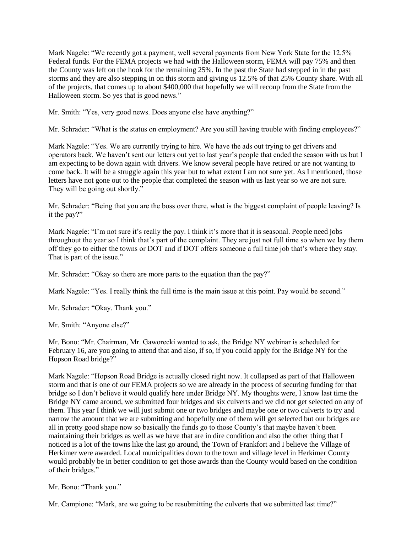Mark Nagele: "We recently got a payment, well several payments from New York State for the 12.5% Federal funds. For the FEMA projects we had with the Halloween storm, FEMA will pay 75% and then the County was left on the hook for the remaining 25%. In the past the State had stepped in in the past storms and they are also stepping in on this storm and giving us 12.5% of that 25% County share. With all of the projects, that comes up to about \$400,000 that hopefully we will recoup from the State from the Halloween storm. So yes that is good news."

Mr. Smith: "Yes, very good news. Does anyone else have anything?"

Mr. Schrader: "What is the status on employment? Are you still having trouble with finding employees?"

Mark Nagele: "Yes. We are currently trying to hire. We have the ads out trying to get drivers and operators back. We haven't sent our letters out yet to last year's people that ended the season with us but I am expecting to be down again with drivers. We know several people have retired or are not wanting to come back. It will be a struggle again this year but to what extent I am not sure yet. As I mentioned, those letters have not gone out to the people that completed the season with us last year so we are not sure. They will be going out shortly."

Mr. Schrader: "Being that you are the boss over there, what is the biggest complaint of people leaving? Is it the pay?"

Mark Nagele: "I'm not sure it's really the pay. I think it's more that it is seasonal. People need jobs throughout the year so I think that's part of the complaint. They are just not full time so when we lay them off they go to either the towns or DOT and if DOT offers someone a full time job that's where they stay. That is part of the issue."

Mr. Schrader: "Okay so there are more parts to the equation than the pay?"

Mark Nagele: "Yes. I really think the full time is the main issue at this point. Pay would be second."

Mr. Schrader: "Okay. Thank you."

Mr. Smith: "Anyone else?"

Mr. Bono: "Mr. Chairman, Mr. Gaworecki wanted to ask, the Bridge NY webinar is scheduled for February 16, are you going to attend that and also, if so, if you could apply for the Bridge NY for the Hopson Road bridge?"

Mark Nagele: "Hopson Road Bridge is actually closed right now. It collapsed as part of that Halloween storm and that is one of our FEMA projects so we are already in the process of securing funding for that bridge so I don't believe it would qualify here under Bridge NY. My thoughts were, I know last time the Bridge NY came around, we submitted four bridges and six culverts and we did not get selected on any of them. This year I think we will just submit one or two bridges and maybe one or two culverts to try and narrow the amount that we are submitting and hopefully one of them will get selected but our bridges are all in pretty good shape now so basically the funds go to those County's that maybe haven't been maintaining their bridges as well as we have that are in dire condition and also the other thing that I noticed is a lot of the towns like the last go around, the Town of Frankfort and I believe the Village of Herkimer were awarded. Local municipalities down to the town and village level in Herkimer County would probably be in better condition to get those awards than the County would based on the condition of their bridges."

Mr. Bono: "Thank you."

Mr. Campione: "Mark, are we going to be resubmitting the culverts that we submitted last time?"